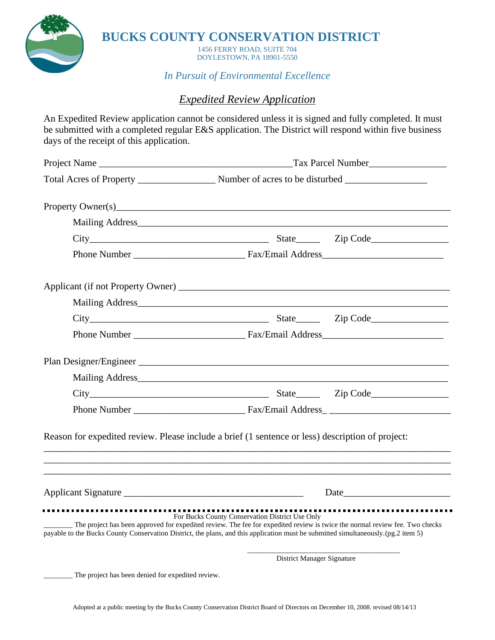

**BUCKS COUNTY CONSERVATION DISTRICT**

1456 FERRY ROAD, SUITE 704 DOYLESTOWN, PA 18901-5550

*In Pursuit of Environmental Excellence*

## *Expedited Review Application*

An Expedited Review application cannot be considered unless it is signed and fully completed. It must be submitted with a completed regular E&S application. The District will respond within five business days of the receipt of this application.

|                                                   | Mailing Address <b>Mailing</b> Address <b>Mailing</b> Address <b>Mailing</b> Address <b>Mailing</b> Address <b>Mailing</b> Address <b>Mailing</b> Address <b>Mailing</b> Address <b>Mailing</b> Address <b>Mailing</b> Address <b>Mailing</b> Address <b>Mailing</b> Address <b>Mailing</b>                         |                            |  |
|---------------------------------------------------|---------------------------------------------------------------------------------------------------------------------------------------------------------------------------------------------------------------------------------------------------------------------------------------------------------------------|----------------------------|--|
|                                                   |                                                                                                                                                                                                                                                                                                                     |                            |  |
|                                                   |                                                                                                                                                                                                                                                                                                                     |                            |  |
|                                                   |                                                                                                                                                                                                                                                                                                                     |                            |  |
|                                                   | Mailing Address <b>Mailing</b> Address <b>Mailing</b> Address <b>Mailing</b> Address <b>Mailing</b> Address <b>Mailing</b> Address <b>Mailing</b> Address <b>Mailing</b> Address <b>Mailing</b> Address <b>Mailing</b> Address <b>Mailing</b> Address <b>Mailing</b> Address <b>Mailing</b>                         |                            |  |
|                                                   |                                                                                                                                                                                                                                                                                                                     |                            |  |
|                                                   |                                                                                                                                                                                                                                                                                                                     |                            |  |
|                                                   |                                                                                                                                                                                                                                                                                                                     |                            |  |
|                                                   | Mailing Address Manual Manual Manual Manual Manual Manual Manual Manual Manual Manual Manual Manual Manual Manual Manual Manual Manual Manual Manual Manual Manual Manual Manual Manual Manual Manual Manual Manual Manual Man                                                                                      |                            |  |
|                                                   |                                                                                                                                                                                                                                                                                                                     |                            |  |
|                                                   |                                                                                                                                                                                                                                                                                                                     |                            |  |
|                                                   | Reason for expedited review. Please include a brief (1 sentence or less) description of project:                                                                                                                                                                                                                    |                            |  |
|                                                   |                                                                                                                                                                                                                                                                                                                     | Date <u>Date</u>           |  |
|                                                   | For Bucks County Conservation District Use Only<br>The project has been approved for expedited review. The fee for expedited review is twice the normal review fee. Two checks<br>payable to the Bucks County Conservation District, the plans, and this application must be submitted simultaneously.(pg.2 item 5) |                            |  |
|                                                   |                                                                                                                                                                                                                                                                                                                     | District Manager Signature |  |
| The project has been denied for expedited review. |                                                                                                                                                                                                                                                                                                                     |                            |  |